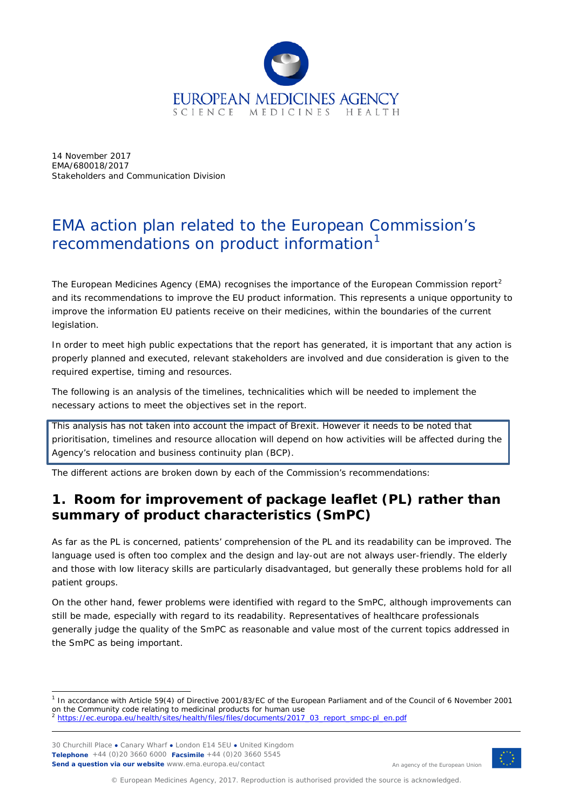

14 November 2017 EMA/680018/2017 Stakeholders and Communication Division

# EMA action plan related to the European Commission's recommendations on product information<sup>[1](#page-0-0)</sup>

The European Medicines Agency (EMA) recognises the importance of the European Commission report<sup>[2](#page-0-1)</sup> and its recommendations to improve the EU product information. This represents a unique opportunity to improve the information EU patients receive on their medicines, within the boundaries of the current legislation.

In order to meet high public expectations that the report has generated, it is important that any action is properly planned and executed, relevant stakeholders are involved and due consideration is given to the required expertise, timing and resources.

The following is an analysis of the timelines, technicalities which will be needed to implement the necessary actions to meet the objectives set in the report.

This analysis has not taken into account the impact of Brexit. However it needs to be noted that prioritisation, timelines and resource allocation will depend on how activities will be affected during the Agency's relocation and business continuity plan (BCP).

The different actions are broken down by each of the Commission's recommendations:

# **1. Room for improvement of package leaflet (PL) rather than summary of product characteristics (SmPC)**

As far as the PL is concerned, patients' comprehension of the PL and its readability can be improved. The language used is often too complex and the design and lay-out are not always user-friendly. The elderly and those with low literacy skills are particularly disadvantaged, but generally these problems hold for all patient groups.

On the other hand, fewer problems were identified with regard to the SmPC, although improvements can still be made, especially with regard to its readability. Representatives of healthcare professionals generally judge the quality of the SmPC as reasonable and value most of the current topics addressed in the SmPC as being important.

30 Churchill Place **●** Canary Wharf **●** London E14 5EU **●** United Kingdom **Telephone** +44 (0)20 3660 6000 **Facsimile** +44 (0)20 3660 5545 **Send a question via our website** www.ema.europa.eu/contact



An agency of the European Union

<span id="page-0-0"></span> <sup>1</sup> In accordance with Article 59(4) of Directive 2001/83/EC of the European Parliament and of the Council of 6 November 2001 on the Community code relating to medicinal products for human use<br> $\frac{2 \text{ https://co. our answer.} }{2 \text{ https://co. our answer.} }$ 

<span id="page-0-1"></span><sup>2</sup> [https://ec.europa.eu/health/sites/health/files/files/documents/2017\\_03\\_report\\_smpc-pl\\_en.pdf](https://ec.europa.eu/health/sites/health/files/files/documents/2017_03_report_smpc-pl_en.pdf)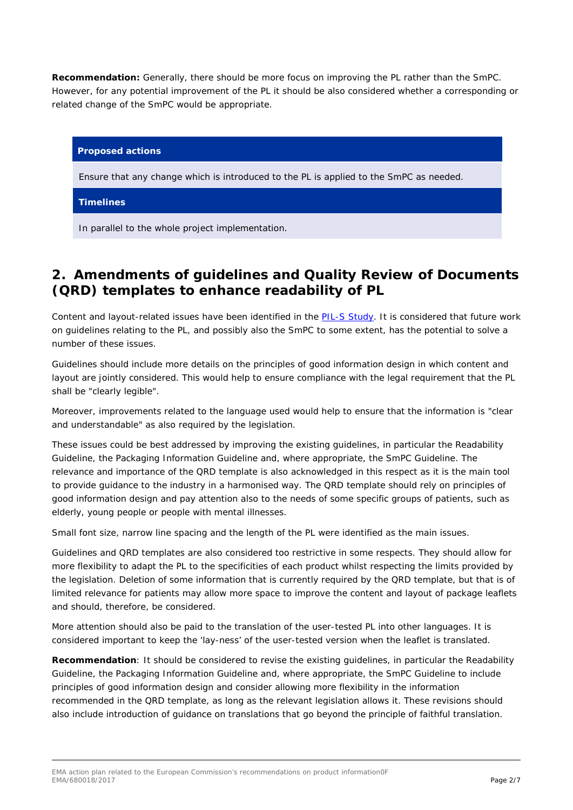**Recommendation:** Generally, there should be more focus on improving the PL rather than the SmPC. However, for any potential improvement of the PL it should be also considered whether a corresponding or related change of the SmPC would be appropriate.

# **Proposed actions**

Ensure that any change which is introduced to the PL is applied to the SmPC as needed.

# **Timelines**

In parallel to the whole project implementation.

# **2. Amendments of guidelines and Quality Review of Documents (QRD) templates to enhance readability of PL**

Content and layout-related issues have been identified in the **PIL-S Study**. It is considered that future work on guidelines relating to the PL, and possibly also the SmPC to some extent, has the potential to solve a number of these issues.

Guidelines should include more details on the principles of good information design in which content and layout are jointly considered. This would help to ensure compliance with the legal requirement that the PL shall be "clearly legible".

Moreover, improvements related to the language used would help to ensure that the information is "clear and understandable" as also required by the legislation.

These issues could be best addressed by improving the existing guidelines, in particular the Readability Guideline, the Packaging Information Guideline and, where appropriate, the SmPC Guideline. The relevance and importance of the QRD template is also acknowledged in this respect as it is the main tool to provide guidance to the industry in a harmonised way. The QRD template should rely on principles of good information design and pay attention also to the needs of some specific groups of patients, such as elderly, young people or people with mental illnesses.

Small font size, narrow line spacing and the length of the PL were identified as the main issues.

Guidelines and QRD templates are also considered too restrictive in some respects. They should allow for more flexibility to adapt the PL to the specificities of each product whilst respecting the limits provided by the legislation. Deletion of some information that is currently required by the QRD template, but that is of limited relevance for patients may allow more space to improve the content and layout of package leaflets and should, therefore, be considered.

More attention should also be paid to the translation of the user-tested PL into other languages. It is considered important to keep the 'lay-ness' of the user-tested version when the leaflet is translated.

**Recommendation**: It should be considered to revise the existing guidelines, in particular the Readability Guideline, the Packaging Information Guideline and, where appropriate, the SmPC Guideline to include principles of good information design and consider allowing more flexibility in the information recommended in the QRD template, as long as the relevant legislation allows it. These revisions should also include introduction of guidance on translations that go beyond the principle of faithful translation.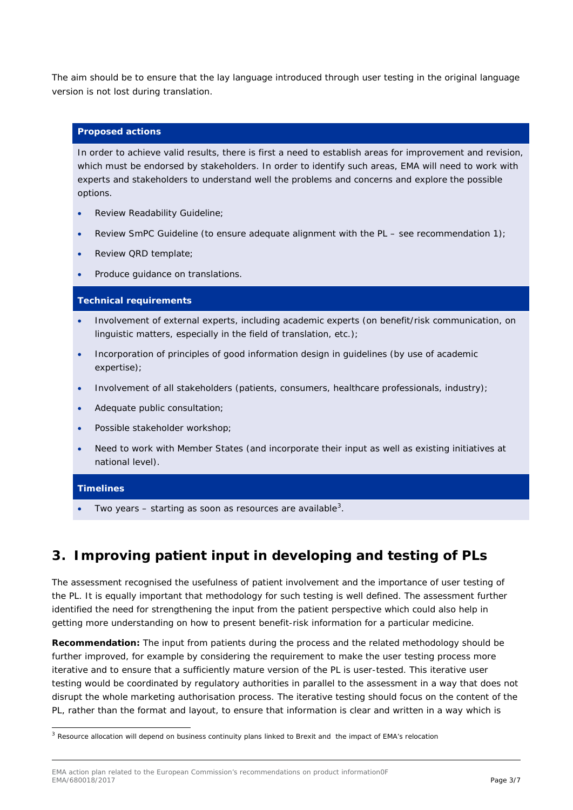The aim should be to ensure that the lay language introduced through user testing in the original language version is not lost during translation.

## **Proposed actions**

In order to achieve valid results, there is first a need to establish areas for improvement and revision, which must be endorsed by stakeholders. In order to identify such areas, EMA will need to work with experts and stakeholders to understand well the problems and concerns and explore the possible options.

- Review Readability Guideline;
- Review SmPC Guideline (to ensure adequate alignment with the PL see recommendation 1);
- Review QRD template;
- Produce guidance on translations.

#### **Technical requirements**

- Involvement of external experts, including academic experts (on benefit/risk communication, on linguistic matters, especially in the field of translation, etc.);
- Incorporation of principles of good information design in guidelines (by use of academic expertise);
- Involvement of all stakeholders (patients, consumers, healthcare professionals, industry);
- Adequate public consultation;
- Possible stakeholder workshop;
- Need to work with Member States (and incorporate their input as well as existing initiatives at national level).

#### **Timelines**

• Two years  $-$  starting as soon as resources are available<sup>[3](#page-2-0)</sup>.

# **3. Improving patient input in developing and testing of PLs**

The assessment recognised the usefulness of patient involvement and the importance of user testing of the PL. It is equally important that methodology for such testing is well defined. The assessment further identified the need for strengthening the input from the patient perspective which could also help in getting more understanding on how to present benefit-risk information for a particular medicine.

**Recommendation:** The input from patients during the process and the related methodology should be further improved, for example by considering the requirement to make the user testing process more iterative and to ensure that a sufficiently mature version of the PL is user-tested. This iterative user testing would be coordinated by regulatory authorities in parallel to the assessment in a way that does not disrupt the whole marketing authorisation process. The iterative testing should focus on the content of the PL, rather than the format and layout, to ensure that information is clear and written in a way which is

<span id="page-2-0"></span><sup>&</sup>lt;sup>3</sup> Resource allocation will depend on business continuity plans linked to Brexit and the impact of EMA's relocation

EMA action plan related to the European Commission's recommendations on product information0F<br>EMA/680018/2017 EMA/680018/2017 Page 3/7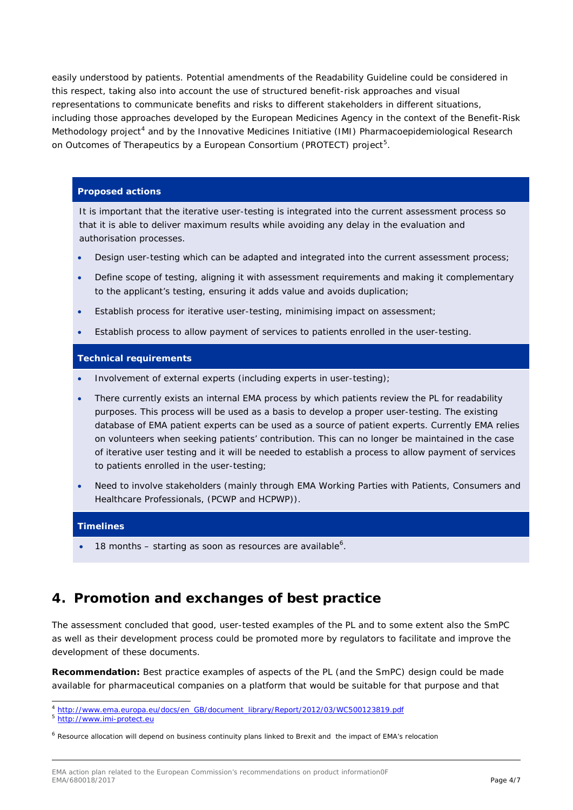easily understood by patients. Potential amendments of the Readability Guideline could be considered in this respect, taking also into account the use of structured benefit-risk approaches and visual representations to communicate benefits and risks to different stakeholders in different situations, including those approaches developed by the European Medicines Agency in the context of the Benefit-Risk Methodology project<sup>[4](#page-3-0)</sup> and by the Innovative Medicines Initiative (IMI) Pharmacoepidemiological Research on Outcomes of Therapeutics by a European Consortium (PROTECT) project<sup>[5](#page-3-1)</sup>.

### **Proposed actions**

It is important that the iterative user-testing is integrated into the current assessment process so that it is able to deliver maximum results while avoiding any delay in the evaluation and authorisation processes.

- Design user-testing which can be adapted and integrated into the current assessment process;
- Define scope of testing, aligning it with assessment requirements and making it complementary to the applicant's testing, ensuring it adds value and avoids duplication;
- Establish process for iterative user-testing, minimising impact on assessment;
- Establish process to allow payment of services to patients enrolled in the user-testing.

# **Technical requirements**

- Involvement of external experts (including experts in user-testing);
- There currently exists an internal EMA process by which patients review the PL for readability purposes. This process will be used as a basis to develop a proper user-testing. The existing database of EMA patient experts can be used as a source of patient experts. Currently EMA relies on volunteers when seeking patients' contribution. This can no longer be maintained in the case of iterative user testing and it will be needed to establish a process to allow payment of services to patients enrolled in the user-testing;
- Need to involve stakeholders (mainly through EMA Working Parties with Patients, Consumers and Healthcare Professionals, (PCWP and HCPWP)).

#### **Timelines**

• 18 months  $-$  starting as soon as resources are available<sup>[6](#page-3-2)</sup>.

# **4. Promotion and exchanges of best practice**

The assessment concluded that good, user-tested examples of the PL and to some extent also the SmPC as well as their development process could be promoted more by regulators to facilitate and improve the development of these documents.

**Recommendation:** Best practice examples of aspects of the PL (and the SmPC) design could be made available for pharmaceutical companies on a platform that would be suitable for that purpose and that

<span id="page-3-0"></span> <sup>4</sup> [http://www.ema.europa.eu/docs/en\\_GB/document\\_library/Report/2012/03/WC500123819.pdf](http://www.ema.europa.eu/docs/en_GB/document_library/Report/2012/03/WC500123819.pdf)

<span id="page-3-1"></span><sup>5</sup> [http://www.imi-protect.eu](http://www.imi-protect.eu/)

<span id="page-3-2"></span><sup>6</sup> Resource allocation will depend on business continuity plans linked to Brexit and the impact of EMA's relocation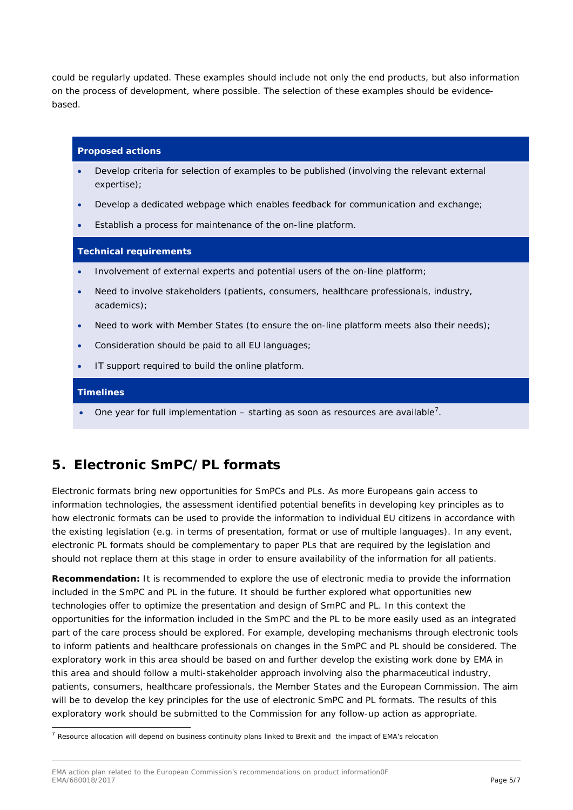could be regularly updated. These examples should include not only the end products, but also information on the process of development, where possible. The selection of these examples should be evidencebased.

#### **Proposed actions**

- Develop criteria for selection of examples to be published (involving the relevant external expertise);
- Develop a dedicated webpage which enables feedback for communication and exchange;
- Establish a process for maintenance of the on-line platform.

#### **Technical requirements**

- Involvement of external experts and potential users of the on-line platform;
- Need to involve stakeholders (patients, consumers, healthcare professionals, industry, academics);
- Need to work with Member States (to ensure the on-line platform meets also their needs);
- Consideration should be paid to all EU languages;
- IT support required to build the online platform.

#### **Timelines**

• One year for full implementation  $-$  starting as soon as resources are available<sup>[7](#page-4-0)</sup>.

# **5. Electronic SmPC/PL formats**

Electronic formats bring new opportunities for SmPCs and PLs. As more Europeans gain access to information technologies, the assessment identified potential benefits in developing key principles as to how electronic formats can be used to provide the information to individual EU citizens in accordance with the existing legislation (e.g. in terms of presentation, format or use of multiple languages). In any event, electronic PL formats should be complementary to paper PLs that are required by the legislation and should not replace them at this stage in order to ensure availability of the information for all patients.

**Recommendation:** It is recommended to explore the use of electronic media to provide the information included in the SmPC and PL in the future. It should be further explored what opportunities new technologies offer to optimize the presentation and design of SmPC and PL. In this context the opportunities for the information included in the SmPC and the PL to be more easily used as an integrated part of the care process should be explored. For example, developing mechanisms through electronic tools to inform patients and healthcare professionals on changes in the SmPC and PL should be considered. The exploratory work in this area should be based on and further develop the existing work done by EMA in this area and should follow a multi-stakeholder approach involving also the pharmaceutical industry, patients, consumers, healthcare professionals, the Member States and the European Commission. The aim will be to develop the key principles for the use of electronic SmPC and PL formats. The results of this exploratory work should be submitted to the Commission for any follow-up action as appropriate.

<span id="page-4-0"></span> $<sup>7</sup>$  Resource allocation will depend on business continuity plans linked to Brexit and the impact of EMA's relocation</sup>

EMA action plan related to the European Commission's recommendations on product information0F<br>EMA/680018/2017 EMA/680018/2017 Page 5/7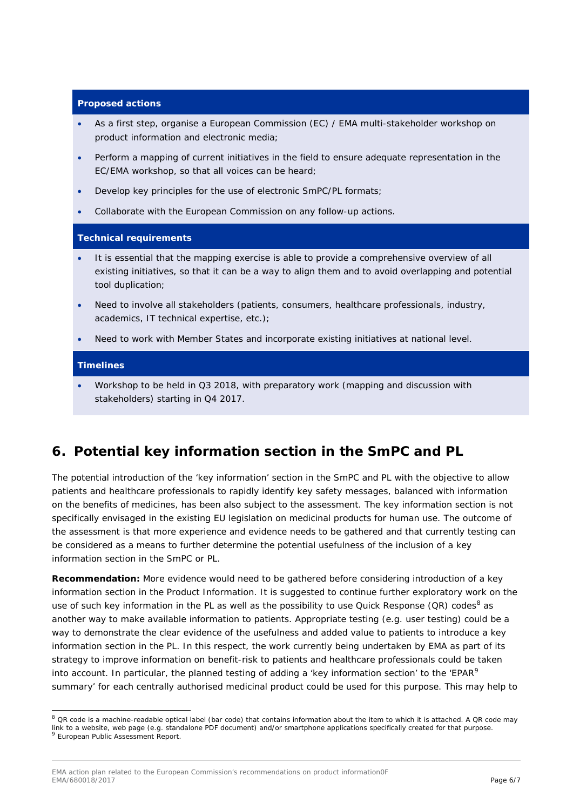# **Proposed actions**

- As a first step, organise a European Commission (EC) / EMA multi-stakeholder workshop on product information and electronic media;
- Perform a mapping of current initiatives in the field to ensure adequate representation in the EC/EMA workshop, so that all voices can be heard;
- Develop key principles for the use of electronic SmPC/PL formats;
- Collaborate with the European Commission on any follow-up actions.

### **Technical requirements**

- It is essential that the mapping exercise is able to provide a comprehensive overview of all existing initiatives, so that it can be a way to align them and to avoid overlapping and potential tool duplication;
- Need to involve all stakeholders (patients, consumers, healthcare professionals, industry, academics, IT technical expertise, etc.);
- Need to work with Member States and incorporate existing initiatives at national level.

# **Timelines**

• Workshop to be held in Q3 2018, with preparatory work (mapping and discussion with stakeholders) starting in Q4 2017.

# **6. Potential key information section in the SmPC and PL**

The potential introduction of the 'key information' section in the SmPC and PL with the objective to allow patients and healthcare professionals to rapidly identify key safety messages, balanced with information on the benefits of medicines, has been also subject to the assessment. The key information section is not specifically envisaged in the existing EU legislation on medicinal products for human use. The outcome of the assessment is that more experience and evidence needs to be gathered and that currently testing can be considered as a means to further determine the potential usefulness of the inclusion of a key information section in the SmPC or PL.

**Recommendation:** More evidence would need to be gathered before considering introduction of a key information section in the Product Information. It is suggested to continue further exploratory work on the use of such key information in the PL as well as the possibility to use Quick Response (QR) codes<sup>[8](#page-5-0)</sup> as another way to make available information to patients. Appropriate testing (e.g. user testing) could be a way to demonstrate the clear evidence of the usefulness and added value to patients to introduce a key information section in the PL. In this respect, the work currently being undertaken by EMA as part of its strategy to improve information on benefit-risk to patients and healthcare professionals could be taken into account. In particular, the planned testing of adding a 'key information section' to the 'EPAR<sup>[9](#page-5-1)</sup> summary' for each centrally authorised medicinal product could be used for this purpose. This may help to

<span id="page-5-1"></span><span id="page-5-0"></span> $8$  QR code is a machine-readable optical label (bar code) that contains information about the item to which it is attached. A QR code may link to a website, web page (e.g. standalone PDF document) and/or smartphone applications specifically created for that purpose.<br><sup>9</sup> European Public Assessment Report.